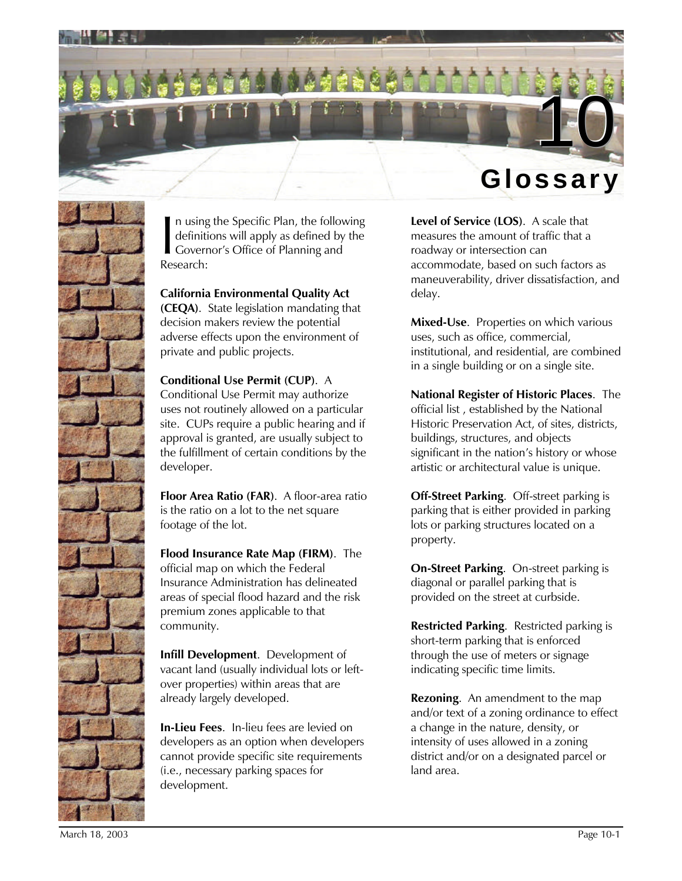



n using the Specific Plan, the following definitions will apply as defined by the Governor's Office of Planning and Research:  $\frac{1}{R}$ 

**California Environmental Quality Act (CEQA)**. State legislation mandating that decision makers review the potential adverse effects upon the environment of private and public projects.

**Conditional Use Permit (CUP)**. A Conditional Use Permit may authorize uses not routinely allowed on a particular site. CUPs require a public hearing and if approval is granted, are usually subject to the fulfillment of certain conditions by the developer.

**Floor Area Ratio (FAR)**. A floor-area ratio is the ratio on a lot to the net square footage of the lot.

**Flood Insurance Rate Map (FIRM)**. The official map on which the Federal Insurance Administration has delineated areas of special flood hazard and the risk premium zones applicable to that community.

**Infill Development**. Development of vacant land (usually individual lots or leftover properties) within areas that are already largely developed.

**In-Lieu Fees**. In-lieu fees are levied on developers as an option when developers cannot provide specific site requirements (i.e., necessary parking spaces for development.

**Level of Service (LOS)**. A scale that measures the amount of traffic that a roadway or intersection can accommodate, based on such factors as maneuverability, driver dissatisfaction, and delay.

**Mixed-Use**. Properties on which various uses, such as office, commercial, institutional, and residential, are combined in a single building or on a single site.

**National Register of Historic Places**. The official list , established by the National Historic Preservation Act, of sites, districts, buildings, structures, and objects significant in the nation's history or whose artistic or architectural value is unique.

**Off-Street Parking**. Off-street parking is parking that is either provided in parking lots or parking structures located on a property.

**On-Street Parking**. On-street parking is diagonal or parallel parking that is provided on the street at curbside.

**Restricted Parking**. Restricted parking is short-term parking that is enforced through the use of meters or signage indicating specific time limits.

**Rezoning**. An amendment to the map and/or text of a zoning ordinance to effect a change in the nature, density, or intensity of uses allowed in a zoning district and/or on a designated parcel or land area.

March 18, 2003 Page 10-1